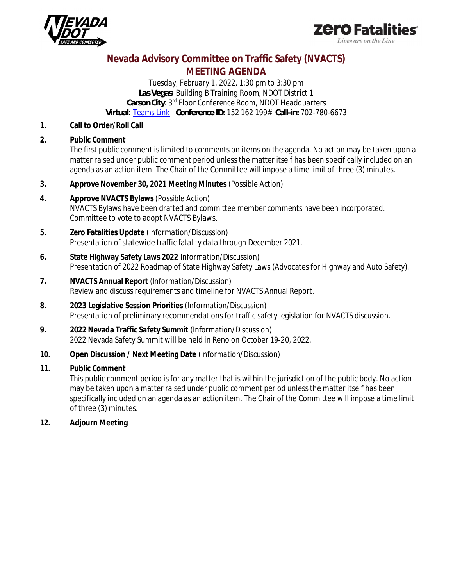



## **Nevada Advisory Committee on Traffic Safety (NVACTS) MEETING AGENDA**

*Tuesday, February 1, 2022, 1:30 pm to 3:30 pm Las Vegas: Building B Training Room, NDOT District 1 Carson City: 3rd Floor Conference Room, NDOT Headquarters Virtual:* [Teams Link](https://teams.microsoft.com/l/meetup-join/19%3ameeting_ZTk4ZjNhMzItYjJiYi00ZjY0LWJjMjctMjdlYTZiZWZkMmM0%40thread.v2/0?context=%7b%22Tid%22%3a%2201bcd707-f637-4673-8752-f751df8708d4%22%2c%22Oid%22%3a%22d7f68e28-3366-4ab3-8a2b-ffcf42528aca%22%7d) *Conference ID: 152 162 199# Call-in: 702-780-6673*

- **1. Call to Order/Roll Call**
- **2. Public Comment** The first public comment is limited to comments on items on the agenda. No action may be taken upon a matter raised under public comment period unless the matter itself has been specifically included on an agenda as an action item. The Chair of the Committee will impose a time limit of three (3) minutes.
- **3. Approve November 30, 2021 Meeting Minutes** *(Possible Action)*
- **4. Approve NVACTS Bylaws** *(Possible Action)* NVACTS Bylaws have been drafted and committee member comments have been incorporated. Committee to vote to adopt NVACTS Bylaws.
- **5. Zero Fatalities Update** *(Information/Discussion)* Presentation of statewide traffic fatality data through December 2021.
- **6. State Highway Safety Laws 2022** *Information/Discussion)* Presentation of 2022 Roadmap of State Highway Safety Laws (Advocates for Highway and Auto Safety).
- **7. NVACTS Annual Report** *(Information/Discussion)* Review and discuss requirements and timeline for NVACTS Annual Report.
- **8. 2023 Legislative Session Priorities** *(Information/Discussion)* Presentation of preliminary recommendations for traffic safety legislation for NVACTS discussion.
- **9. 2022 Nevada Traffic Safety Summit** *(Information/Discussion)* 2022 Nevada Safety Summit will be held in Reno on October 19-20, 2022.
- **10. Open Discussion / Next Meeting Date** (*Information/Discussion)*
- **11. Public Comment**

This public comment period is for any matter that is within the jurisdiction of the public body. No action may be taken upon a matter raised under public comment period unless the matter itself has been specifically included on an agenda as an action item. The Chair of the Committee will impose a time limit of three (3) minutes.

**12. Adjourn Meeting**